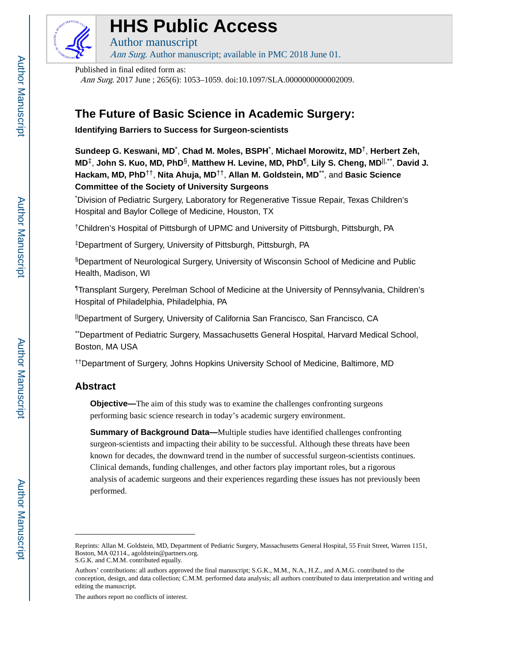

# **HHS Public Access**

Author manuscript Ann Surg. Author manuscript; available in PMC 2018 June 01.

Published in final edited form as:

Ann Surg. 2017 June ; 265(6): 1053-1059. doi:10.1097/SLA.00000000000002009.

## **The Future of Basic Science in Academic Surgery:**

**Identifying Barriers to Success for Surgeon-scientists**

**Sundeep G. Keswani, MD**\* , **Chad M. Moles, BSPH**\* , **Michael Morowitz, MD**†, **Herbert Zeh, MD**‡, **John S. Kuo, MD, PhD**§, **Matthew H. Levine, MD, PhD**¶ , **Lily S. Cheng, MD**||,\*\* , **David J. Hackam, MD, PhD**††, **Nita Ahuja, MD**††, **Allan M. Goldstein, MD**\*\*, and **Basic Science Committee of the Society of University Surgeons**

\*Division of Pediatric Surgery, Laboratory for Regenerative Tissue Repair, Texas Children's Hospital and Baylor College of Medicine, Houston, TX

†Children's Hospital of Pittsburgh of UPMC and University of Pittsburgh, Pittsburgh, PA

‡Department of Surgery, University of Pittsburgh, Pittsburgh, PA

§Department of Neurological Surgery, University of Wisconsin School of Medicine and Public Health, Madison, WI

¶Transplant Surgery, Perelman School of Medicine at the University of Pennsylvania, Children's Hospital of Philadelphia, Philadelphia, PA

||Department of Surgery, University of California San Francisco, San Francisco, CA

\*\*Department of Pediatric Surgery, Massachusetts General Hospital, Harvard Medical School, Boston, MA USA

††Department of Surgery, Johns Hopkins University School of Medicine, Baltimore, MD

## **Abstract**

**Objective—**The aim of this study was to examine the challenges confronting surgeons performing basic science research in today's academic surgery environment.

**Summary of Background Data—**Multiple studies have identified challenges confronting surgeon-scientists and impacting their ability to be successful. Although these threats have been known for decades, the downward trend in the number of successful surgeon-scientists continues. Clinical demands, funding challenges, and other factors play important roles, but a rigorous analysis of academic surgeons and their experiences regarding these issues has not previously been performed.

The authors report no conflicts of interest.

Reprints: Allan M. Goldstein, MD, Department of Pediatric Surgery, Massachusetts General Hospital, 55 Fruit Street, Warren 1151, Boston, MA 02114., agoldstein@partners.org. S.G.K. and C.M.M. contributed equally.

Authors' contributions: all authors approved the final manuscript; S.G.K., M.M., N.A., H.Z., and A.M.G. contributed to the conception, design, and data collection; C.M.M. performed data analysis; all authors contributed to data interpretation and writing and editing the manuscript.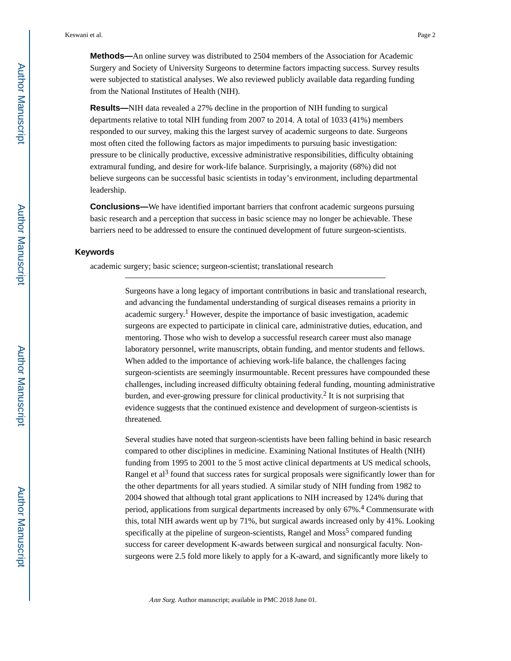**Methods—**An online survey was distributed to 2504 members of the Association for Academic Surgery and Society of University Surgeons to determine factors impacting success. Survey results were subjected to statistical analyses. We also reviewed publicly available data regarding funding from the National Institutes of Health (NIH).

**Results—**NIH data revealed a 27% decline in the proportion of NIH funding to surgical departments relative to total NIH funding from 2007 to 2014. A total of 1033 (41%) members responded to our survey, making this the largest survey of academic surgeons to date. Surgeons most often cited the following factors as major impediments to pursuing basic investigation: pressure to be clinically productive, excessive administrative responsibilities, difficulty obtaining extramural funding, and desire for work-life balance. Surprisingly, a majority (68%) did not believe surgeons can be successful basic scientists in today's environment, including departmental leadership.

**Conclusions—**We have identified important barriers that confront academic surgeons pursuing basic research and a perception that success in basic science may no longer be achievable. These barriers need to be addressed to ensure the continued development of future surgeon-scientists.

#### **Keywords**

academic surgery; basic science; surgeon-scientist; translational research

Surgeons have a long legacy of important contributions in basic and translational research, and advancing the fundamental understanding of surgical diseases remains a priority in academic surgery.<sup>1</sup> However, despite the importance of basic investigation, academic surgeons are expected to participate in clinical care, administrative duties, education, and mentoring. Those who wish to develop a successful research career must also manage laboratory personnel, write manuscripts, obtain funding, and mentor students and fellows. When added to the importance of achieving work-life balance, the challenges facing surgeon-scientists are seemingly insurmountable. Recent pressures have compounded these challenges, including increased difficulty obtaining federal funding, mounting administrative burden, and ever-growing pressure for clinical productivity.<sup>2</sup> It is not surprising that evidence suggests that the continued existence and development of surgeon-scientists is threatened.

Several studies have noted that surgeon-scientists have been falling behind in basic research compared to other disciplines in medicine. Examining National Institutes of Health (NIH) funding from 1995 to 2001 to the 5 most active clinical departments at US medical schools, Rangel et al<sup>3</sup> found that success rates for surgical proposals were significantly lower than for the other departments for all years studied. A similar study of NIH funding from 1982 to 2004 showed that although total grant applications to NIH increased by 124% during that period, applications from surgical departments increased by only 67%.<sup>4</sup> Commensurate with this, total NIH awards went up by 71%, but surgical awards increased only by 41%. Looking specifically at the pipeline of surgeon-scientists, Rangel and Moss<sup>5</sup> compared funding success for career development K-awards between surgical and nonsurgical faculty. Nonsurgeons were 2.5 fold more likely to apply for a K-award, and significantly more likely to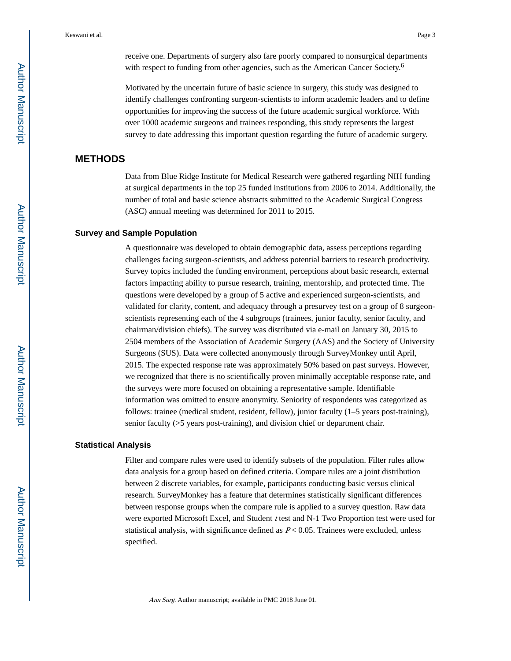Motivated by the uncertain future of basic science in surgery, this study was designed to identify challenges confronting surgeon-scientists to inform academic leaders and to define opportunities for improving the success of the future academic surgical workforce. With over 1000 academic surgeons and trainees responding, this study represents the largest survey to date addressing this important question regarding the future of academic surgery.

## **METHODS**

Data from Blue Ridge Institute for Medical Research were gathered regarding NIH funding at surgical departments in the top 25 funded institutions from 2006 to 2014. Additionally, the number of total and basic science abstracts submitted to the Academic Surgical Congress (ASC) annual meeting was determined for 2011 to 2015.

#### **Survey and Sample Population**

A questionnaire was developed to obtain demographic data, assess perceptions regarding challenges facing surgeon-scientists, and address potential barriers to research productivity. Survey topics included the funding environment, perceptions about basic research, external factors impacting ability to pursue research, training, mentorship, and protected time. The questions were developed by a group of 5 active and experienced surgeon-scientists, and validated for clarity, content, and adequacy through a presurvey test on a group of 8 surgeonscientists representing each of the 4 subgroups (trainees, junior faculty, senior faculty, and chairman/division chiefs). The survey was distributed via e-mail on January 30, 2015 to 2504 members of the Association of Academic Surgery (AAS) and the Society of University Surgeons (SUS). Data were collected anonymously through SurveyMonkey until April, 2015. The expected response rate was approximately 50% based on past surveys. However, we recognized that there is no scientifically proven minimally acceptable response rate, and the surveys were more focused on obtaining a representative sample. Identifiable information was omitted to ensure anonymity. Seniority of respondents was categorized as follows: trainee (medical student, resident, fellow), junior faculty (1–5 years post-training), senior faculty (>5 years post-training), and division chief or department chair.

#### **Statistical Analysis**

Filter and compare rules were used to identify subsets of the population. Filter rules allow data analysis for a group based on defined criteria. Compare rules are a joint distribution between 2 discrete variables, for example, participants conducting basic versus clinical research. SurveyMonkey has a feature that determines statistically significant differences between response groups when the compare rule is applied to a survey question. Raw data were exported Microsoft Excel, and Student t test and N-1 Two Proportion test were used for statistical analysis, with significance defined as  $P < 0.05$ . Trainees were excluded, unless specified.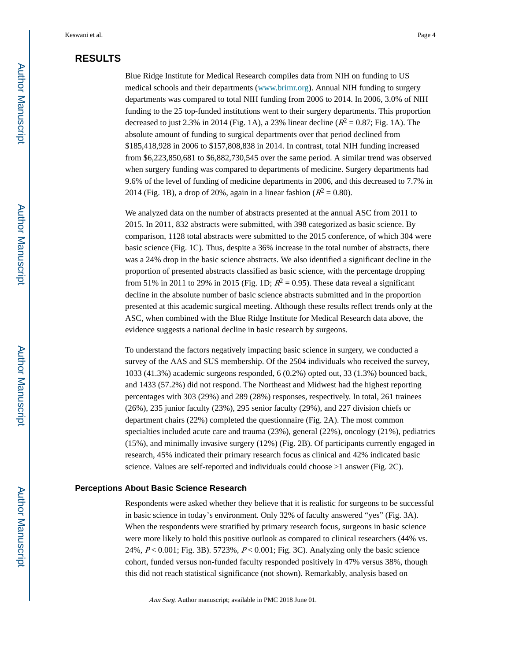## **RESULTS**

Blue Ridge Institute for Medical Research compiles data from NIH on funding to US medical schools and their departments (www.brimr.org). Annual NIH funding to surgery departments was compared to total NIH funding from 2006 to 2014. In 2006, 3.0% of NIH funding to the 25 top-funded institutions went to their surgery departments. This proportion decreased to just 2.3% in 2014 (Fig. 1A), a 23% linear decline ( $R^2 = 0.87$ ; Fig. 1A). The absolute amount of funding to surgical departments over that period declined from \$185,418,928 in 2006 to \$157,808,838 in 2014. In contrast, total NIH funding increased from \$6,223,850,681 to \$6,882,730,545 over the same period. A similar trend was observed when surgery funding was compared to departments of medicine. Surgery departments had 9.6% of the level of funding of medicine departments in 2006, and this decreased to 7.7% in 2014 (Fig. 1B), a drop of 20%, again in a linear fashion ( $R^2 = 0.80$ ).

We analyzed data on the number of abstracts presented at the annual ASC from 2011 to 2015. In 2011, 832 abstracts were submitted, with 398 categorized as basic science. By comparison, 1128 total abstracts were submitted to the 2015 conference, of which 304 were basic science (Fig. 1C). Thus, despite a 36% increase in the total number of abstracts, there was a 24% drop in the basic science abstracts. We also identified a significant decline in the proportion of presented abstracts classified as basic science, with the percentage dropping from 51% in 2011 to 29% in 2015 (Fig. 1D;  $R^2 = 0.95$ ). These data reveal a significant decline in the absolute number of basic science abstracts submitted and in the proportion presented at this academic surgical meeting. Although these results reflect trends only at the ASC, when combined with the Blue Ridge Institute for Medical Research data above, the evidence suggests a national decline in basic research by surgeons.

To understand the factors negatively impacting basic science in surgery, we conducted a survey of the AAS and SUS membership. Of the 2504 individuals who received the survey, 1033 (41.3%) academic surgeons responded, 6 (0.2%) opted out, 33 (1.3%) bounced back, and 1433 (57.2%) did not respond. The Northeast and Midwest had the highest reporting percentages with 303 (29%) and 289 (28%) responses, respectively. In total, 261 trainees (26%), 235 junior faculty (23%), 295 senior faculty (29%), and 227 division chiefs or department chairs (22%) completed the questionnaire (Fig. 2A). The most common specialties included acute care and trauma (23%), general (22%), oncology (21%), pediatrics (15%), and minimally invasive surgery (12%) (Fig. 2B). Of participants currently engaged in research, 45% indicated their primary research focus as clinical and 42% indicated basic science. Values are self-reported and individuals could choose >1 answer (Fig. 2C).

#### **Perceptions About Basic Science Research**

Respondents were asked whether they believe that it is realistic for surgeons to be successful in basic science in today's environment. Only 32% of faculty answered "yes" (Fig. 3A). When the respondents were stratified by primary research focus, surgeons in basic science were more likely to hold this positive outlook as compared to clinical researchers (44% vs. 24%, P < 0.001; Fig. 3B). 5723%, P < 0.001; Fig. 3C). Analyzing only the basic science cohort, funded versus non-funded faculty responded positively in 47% versus 38%, though this did not reach statistical significance (not shown). Remarkably, analysis based on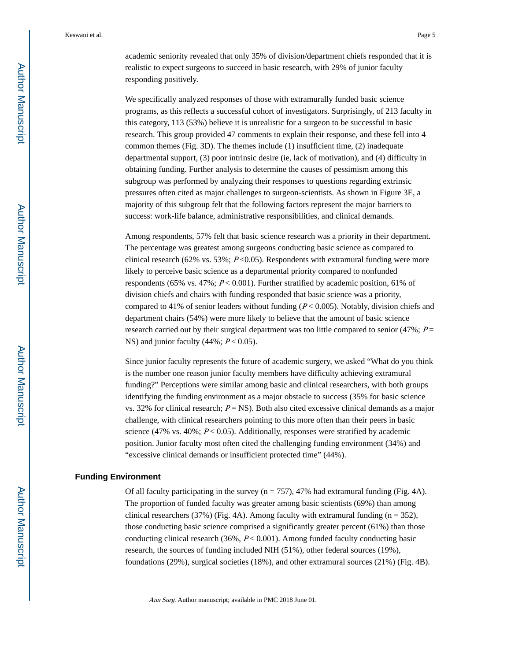academic seniority revealed that only 35% of division/department chiefs responded that it is realistic to expect surgeons to succeed in basic research, with 29% of junior faculty responding positively.

We specifically analyzed responses of those with extramurally funded basic science programs, as this reflects a successful cohort of investigators. Surprisingly, of 213 faculty in this category, 113 (53%) believe it is unrealistic for a surgeon to be successful in basic research. This group provided 47 comments to explain their response, and these fell into 4 common themes (Fig. 3D). The themes include (1) insufficient time, (2) inadequate departmental support, (3) poor intrinsic desire (ie, lack of motivation), and (4) difficulty in obtaining funding. Further analysis to determine the causes of pessimism among this subgroup was performed by analyzing their responses to questions regarding extrinsic pressures often cited as major challenges to surgeon-scientists. As shown in Figure 3E, a majority of this subgroup felt that the following factors represent the major barriers to success: work-life balance, administrative responsibilities, and clinical demands.

Among respondents, 57% felt that basic science research was a priority in their department. The percentage was greatest among surgeons conducting basic science as compared to clinical research (62% vs. 53%;  $P \le 0.05$ ). Respondents with extramural funding were more likely to perceive basic science as a departmental priority compared to nonfunded respondents (65% vs. 47%;  $P < 0.001$ ). Further stratified by academic position, 61% of division chiefs and chairs with funding responded that basic science was a priority, compared to 41% of senior leaders without funding  $(P < 0.005)$ . Notably, division chiefs and department chairs (54%) were more likely to believe that the amount of basic science research carried out by their surgical department was too little compared to senior (47%;  $P =$ NS) and junior faculty  $(44\%; P < 0.05)$ .

Since junior faculty represents the future of academic surgery, we asked "What do you think is the number one reason junior faculty members have difficulty achieving extramural funding?" Perceptions were similar among basic and clinical researchers, with both groups identifying the funding environment as a major obstacle to success (35% for basic science vs. 32% for clinical research;  $P = NS$ ). Both also cited excessive clinical demands as a major challenge, with clinical researchers pointing to this more often than their peers in basic science (47% vs. 40%;  $P < 0.05$ ). Additionally, responses were stratified by academic position. Junior faculty most often cited the challenging funding environment (34%) and "excessive clinical demands or insufficient protected time" (44%).

#### **Funding Environment**

Of all faculty participating in the survey  $(n = 757)$ , 47% had extramural funding (Fig. 4A). The proportion of funded faculty was greater among basic scientists (69%) than among clinical researchers (37%) (Fig. 4A). Among faculty with extramural funding  $(n = 352)$ , those conducting basic science comprised a significantly greater percent (61%) than those conducting clinical research  $(36\%, P < 0.001)$ . Among funded faculty conducting basic research, the sources of funding included NIH (51%), other federal sources (19%), foundations (29%), surgical societies (18%), and other extramural sources (21%) (Fig. 4B).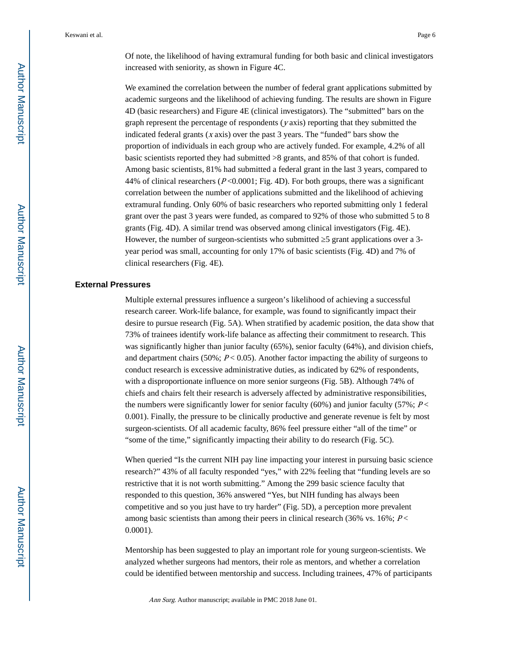Of note, the likelihood of having extramural funding for both basic and clinical investigators increased with seniority, as shown in Figure 4C.

We examined the correlation between the number of federal grant applications submitted by academic surgeons and the likelihood of achieving funding. The results are shown in Figure 4D (basic researchers) and Figure 4E (clinical investigators). The "submitted" bars on the graph represent the percentage of respondents  $(y \text{ axis})$  reporting that they submitted the indicated federal grants  $(x \text{ axis})$  over the past 3 years. The "funded" bars show the proportion of individuals in each group who are actively funded. For example, 4.2% of all basic scientists reported they had submitted >8 grants, and 85% of that cohort is funded. Among basic scientists, 81% had submitted a federal grant in the last 3 years, compared to 44% of clinical researchers ( $P \le 0.0001$ ; Fig. 4D). For both groups, there was a significant correlation between the number of applications submitted and the likelihood of achieving extramural funding. Only 60% of basic researchers who reported submitting only 1 federal grant over the past 3 years were funded, as compared to 92% of those who submitted 5 to 8 grants (Fig. 4D). A similar trend was observed among clinical investigators (Fig. 4E). However, the number of surgeon-scientists who submitted  $\overline{5}$  grant applications over a 3year period was small, accounting for only 17% of basic scientists (Fig. 4D) and 7% of clinical researchers (Fig. 4E).

#### **External Pressures**

Multiple external pressures influence a surgeon's likelihood of achieving a successful research career. Work-life balance, for example, was found to significantly impact their desire to pursue research (Fig. 5A). When stratified by academic position, the data show that 73% of trainees identify work-life balance as affecting their commitment to research. This was significantly higher than junior faculty (65%), senior faculty (64%), and division chiefs, and department chairs (50%;  $P < 0.05$ ). Another factor impacting the ability of surgeons to conduct research is excessive administrative duties, as indicated by 62% of respondents, with a disproportionate influence on more senior surgeons (Fig. 5B). Although 74% of chiefs and chairs felt their research is adversely affected by administrative responsibilities, the numbers were significantly lower for senior faculty (60%) and junior faculty (57%;  $P \leq$ 0.001). Finally, the pressure to be clinically productive and generate revenue is felt by most surgeon-scientists. Of all academic faculty, 86% feel pressure either "all of the time" or "some of the time," significantly impacting their ability to do research (Fig. 5C).

When queried "Is the current NIH pay line impacting your interest in pursuing basic science research?" 43% of all faculty responded "yes," with 22% feeling that "funding levels are so restrictive that it is not worth submitting." Among the 299 basic science faculty that responded to this question, 36% answered "Yes, but NIH funding has always been competitive and so you just have to try harder" (Fig. 5D), a perception more prevalent among basic scientists than among their peers in clinical research (36% vs.  $16\%$ ;  $P$  < 0.0001).

Mentorship has been suggested to play an important role for young surgeon-scientists. We analyzed whether surgeons had mentors, their role as mentors, and whether a correlation could be identified between mentorship and success. Including trainees, 47% of participants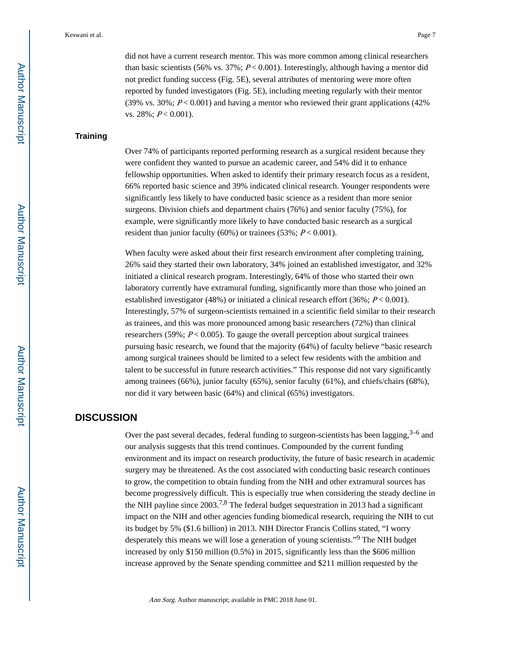did not have a current research mentor. This was more common among clinical researchers than basic scientists (56% vs. 37%;  $P < 0.001$ ). Interestingly, although having a mentor did not predict funding success (Fig. 5E), several attributes of mentoring were more often reported by funded investigators (Fig. 5E), including meeting regularly with their mentor (39% vs. 30%;  $P < 0.001$ ) and having a mentor who reviewed their grant applications (42%) vs. 28%;  $P < 0.001$ ).

#### **Training**

Over 74% of participants reported performing research as a surgical resident because they were confident they wanted to pursue an academic career, and 54% did it to enhance fellowship opportunities. When asked to identify their primary research focus as a resident, 66% reported basic science and 39% indicated clinical research. Younger respondents were significantly less likely to have conducted basic science as a resident than more senior surgeons. Division chiefs and department chairs (76%) and senior faculty (75%), for example, were significantly more likely to have conducted basic research as a surgical resident than junior faculty (60%) or trainees (53%;  $P < 0.001$ ).

When faculty were asked about their first research environment after completing training, 26% said they started their own laboratory, 34% joined an established investigator, and 32% initiated a clinical research program. Interestingly, 64% of those who started their own laboratory currently have extramural funding, significantly more than those who joined an established investigator (48%) or initiated a clinical research effort (36%;  $P < 0.001$ ). Interestingly, 57% of surgeon-scientists remained in a scientific field similar to their research as trainees, and this was more pronounced among basic researchers (72%) than clinical researchers (59%;  $P < 0.005$ ). To gauge the overall perception about surgical trainees pursuing basic research, we found that the majority (64%) of faculty believe "basic research among surgical trainees should be limited to a select few residents with the ambition and talent to be successful in future research activities." This response did not vary significantly among trainees (66%), junior faculty (65%), senior faculty (61%), and chiefs/chairs (68%), nor did it vary between basic (64%) and clinical (65%) investigators.

### **DISCUSSION**

Over the past several decades, federal funding to surgeon-scientists has been lagging, $3-6$  and our analysis suggests that this trend continues. Compounded by the current funding environment and its impact on research productivity, the future of basic research in academic surgery may be threatened. As the cost associated with conducting basic research continues to grow, the competition to obtain funding from the NIH and other extramural sources has become progressively difficult. This is especially true when considering the steady decline in the NIH payline since  $2003<sup>7,8</sup>$  The federal budget sequestration in 2013 had a significant impact on the NIH and other agencies funding biomedical research, requiring the NIH to cut its budget by 5% (\$1.6 billion) in 2013. NIH Director Francis Collins stated, "I worry desperately this means we will lose a generation of young scientists."<sup>9</sup> The NIH budget increased by only \$150 million (0.5%) in 2015, significantly less than the \$606 million increase approved by the Senate spending committee and \$211 million requested by the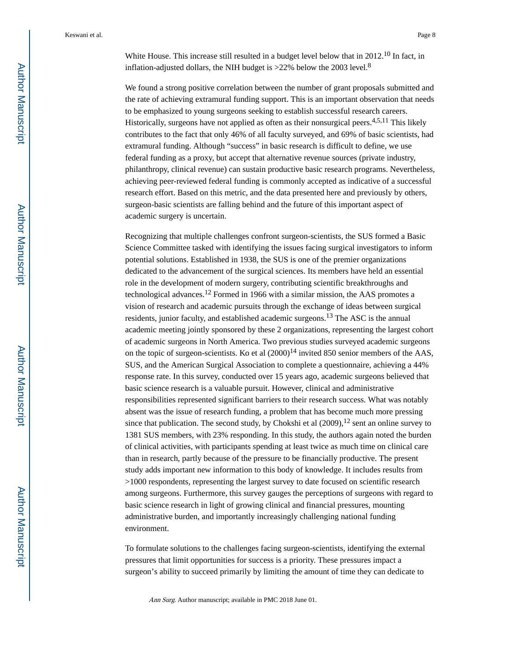White House. This increase still resulted in a budget level below that in 2012.<sup>10</sup> In fact, in inflation-adjusted dollars, the NIH budget is  $>22\%$  below the 2003 level.<sup>8</sup>

We found a strong positive correlation between the number of grant proposals submitted and the rate of achieving extramural funding support. This is an important observation that needs to be emphasized to young surgeons seeking to establish successful research careers. Historically, surgeons have not applied as often as their nonsurgical peers.<sup>4,5,11</sup> This likely contributes to the fact that only 46% of all faculty surveyed, and 69% of basic scientists, had extramural funding. Although "success" in basic research is difficult to define, we use federal funding as a proxy, but accept that alternative revenue sources (private industry, philanthropy, clinical revenue) can sustain productive basic research programs. Nevertheless, achieving peer-reviewed federal funding is commonly accepted as indicative of a successful research effort. Based on this metric, and the data presented here and previously by others, surgeon-basic scientists are falling behind and the future of this important aspect of academic surgery is uncertain.

Recognizing that multiple challenges confront surgeon-scientists, the SUS formed a Basic Science Committee tasked with identifying the issues facing surgical investigators to inform potential solutions. Established in 1938, the SUS is one of the premier organizations dedicated to the advancement of the surgical sciences. Its members have held an essential role in the development of modern surgery, contributing scientific breakthroughs and technological advances.12 Formed in 1966 with a similar mission, the AAS promotes a vision of research and academic pursuits through the exchange of ideas between surgical residents, junior faculty, and established academic surgeons.13 The ASC is the annual academic meeting jointly sponsored by these 2 organizations, representing the largest cohort of academic surgeons in North America. Two previous studies surveyed academic surgeons on the topic of surgeon-scientists. Ko et al  $(2000)^{14}$  invited 850 senior members of the AAS, SUS, and the American Surgical Association to complete a questionnaire, achieving a 44% response rate. In this survey, conducted over 15 years ago, academic surgeons believed that basic science research is a valuable pursuit. However, clinical and administrative responsibilities represented significant barriers to their research success. What was notably absent was the issue of research funding, a problem that has become much more pressing since that publication. The second study, by Chokshi et al  $(2009)$ ,  $^{12}$  sent an online survey to 1381 SUS members, with 23% responding. In this study, the authors again noted the burden of clinical activities, with participants spending at least twice as much time on clinical care than in research, partly because of the pressure to be financially productive. The present study adds important new information to this body of knowledge. It includes results from >1000 respondents, representing the largest survey to date focused on scientific research among surgeons. Furthermore, this survey gauges the perceptions of surgeons with regard to basic science research in light of growing clinical and financial pressures, mounting administrative burden, and importantly increasingly challenging national funding environment.

To formulate solutions to the challenges facing surgeon-scientists, identifying the external pressures that limit opportunities for success is a priority. These pressures impact a surgeon's ability to succeed primarily by limiting the amount of time they can dedicate to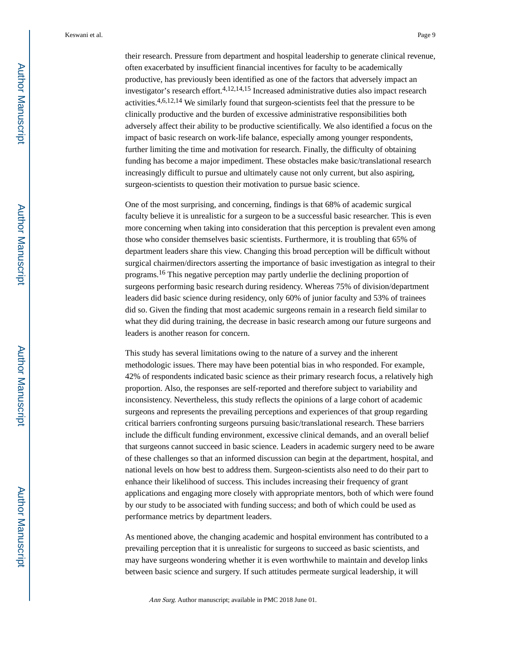their research. Pressure from department and hospital leadership to generate clinical revenue, often exacerbated by insufficient financial incentives for faculty to be academically productive, has previously been identified as one of the factors that adversely impact an investigator's research effort.4,12,14,15 Increased administrative duties also impact research activities.4,6,12,14 We similarly found that surgeon-scientists feel that the pressure to be clinically productive and the burden of excessive administrative responsibilities both adversely affect their ability to be productive scientifically. We also identified a focus on the impact of basic research on work-life balance, especially among younger respondents, further limiting the time and motivation for research. Finally, the difficulty of obtaining funding has become a major impediment. These obstacles make basic/translational research increasingly difficult to pursue and ultimately cause not only current, but also aspiring, surgeon-scientists to question their motivation to pursue basic science.

One of the most surprising, and concerning, findings is that 68% of academic surgical faculty believe it is unrealistic for a surgeon to be a successful basic researcher. This is even more concerning when taking into consideration that this perception is prevalent even among those who consider themselves basic scientists. Furthermore, it is troubling that 65% of department leaders share this view. Changing this broad perception will be difficult without surgical chairmen/directors asserting the importance of basic investigation as integral to their programs.16 This negative perception may partly underlie the declining proportion of surgeons performing basic research during residency. Whereas 75% of division/department leaders did basic science during residency, only 60% of junior faculty and 53% of trainees did so. Given the finding that most academic surgeons remain in a research field similar to what they did during training, the decrease in basic research among our future surgeons and leaders is another reason for concern.

This study has several limitations owing to the nature of a survey and the inherent methodologic issues. There may have been potential bias in who responded. For example, 42% of respondents indicated basic science as their primary research focus, a relatively high proportion. Also, the responses are self-reported and therefore subject to variability and inconsistency. Nevertheless, this study reflects the opinions of a large cohort of academic surgeons and represents the prevailing perceptions and experiences of that group regarding critical barriers confronting surgeons pursuing basic/translational research. These barriers include the difficult funding environment, excessive clinical demands, and an overall belief that surgeons cannot succeed in basic science. Leaders in academic surgery need to be aware of these challenges so that an informed discussion can begin at the department, hospital, and national levels on how best to address them. Surgeon-scientists also need to do their part to enhance their likelihood of success. This includes increasing their frequency of grant applications and engaging more closely with appropriate mentors, both of which were found by our study to be associated with funding success; and both of which could be used as performance metrics by department leaders.

As mentioned above, the changing academic and hospital environment has contributed to a prevailing perception that it is unrealistic for surgeons to succeed as basic scientists, and may have surgeons wondering whether it is even worthwhile to maintain and develop links between basic science and surgery. If such attitudes permeate surgical leadership, it will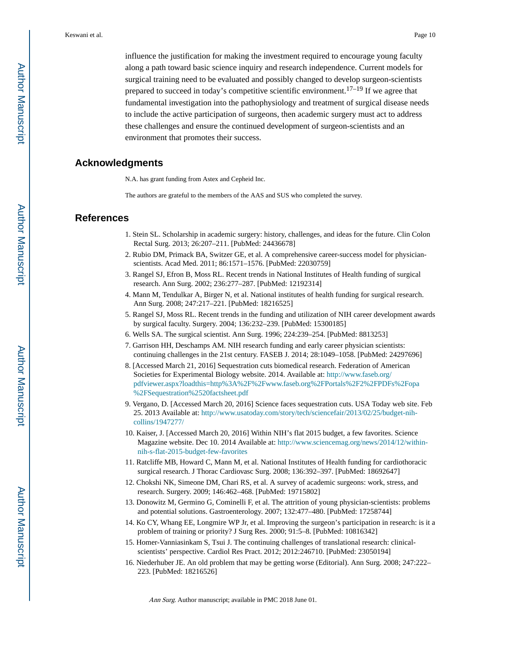influence the justification for making the investment required to encourage young faculty along a path toward basic science inquiry and research independence. Current models for surgical training need to be evaluated and possibly changed to develop surgeon-scientists prepared to succeed in today's competitive scientific environment.<sup>17–19</sup> If we agree that fundamental investigation into the pathophysiology and treatment of surgical disease needs to include the active participation of surgeons, then academic surgery must act to address these challenges and ensure the continued development of surgeon-scientists and an environment that promotes their success.

#### **Acknowledgments**

N.A. has grant funding from Astex and Cepheid Inc.

The authors are grateful to the members of the AAS and SUS who completed the survey.

#### **References**

- 1. Stein SL. Scholarship in academic surgery: history, challenges, and ideas for the future. Clin Colon Rectal Surg. 2013; 26:207–211. [PubMed: 24436678]
- 2. Rubio DM, Primack BA, Switzer GE, et al. A comprehensive career-success model for physicianscientists. Acad Med. 2011; 86:1571–1576. [PubMed: 22030759]
- 3. Rangel SJ, Efron B, Moss RL. Recent trends in National Institutes of Health funding of surgical research. Ann Surg. 2002; 236:277–287. [PubMed: 12192314]
- 4. Mann M, Tendulkar A, Birger N, et al. National institutes of health funding for surgical research. Ann Surg. 2008; 247:217–221. [PubMed: 18216525]
- 5. Rangel SJ, Moss RL. Recent trends in the funding and utilization of NIH career development awards by surgical faculty. Surgery. 2004; 136:232–239. [PubMed: 15300185]
- 6. Wells SA. The surgical scientist. Ann Surg. 1996; 224:239–254. [PubMed: 8813253]
- 7. Garrison HH, Deschamps AM. NIH research funding and early career physician scientists: continuing challenges in the 21st century. FASEB J. 2014; 28:1049–1058. [PubMed: 24297696]
- 8. [Accessed March 21, 2016] Sequestration cuts biomedical research. Federation of American Societies for Experimental Biology website. 2014. Available at: [http://www.faseb.org/](http://www.faseb.org/pdfviewer.aspx?loadthis=http%3A%2F%2Fwww.faseb.org%2FPortals%2F2%2FPDFs%2Fopa%2FSequestration%2520factsheet.pdf) [pdfviewer.aspx?loadthis=http%3A%2F%2Fwww.faseb.org%2FPortals%2F2%2FPDFs%2Fopa](http://www.faseb.org/pdfviewer.aspx?loadthis=http%3A%2F%2Fwww.faseb.org%2FPortals%2F2%2FPDFs%2Fopa%2FSequestration%2520factsheet.pdf) [%2FSequestration%2520factsheet.pdf](http://www.faseb.org/pdfviewer.aspx?loadthis=http%3A%2F%2Fwww.faseb.org%2FPortals%2F2%2FPDFs%2Fopa%2FSequestration%2520factsheet.pdf)
- 9. Vergano, D. [Accessed March 20, 2016] Science faces sequestration cuts. USA Today web site. Feb 25. 2013 Available at: [http://www.usatoday.com/story/tech/sciencefair/2013/02/25/budget-nih](http://www.usatoday.com/story/tech/sciencefair/2013/02/25/budget-nih-collins/1947277/)[collins/1947277/](http://www.usatoday.com/story/tech/sciencefair/2013/02/25/budget-nih-collins/1947277/)
- 10. Kaiser, J. [Accessed March 20, 2016] Within NIH's flat 2015 budget, a few favorites. Science Magazine website. Dec 10. 2014 Available at: [http://www.sciencemag.org/news/2014/12/within](http://www.sciencemag.org/news/2014/12/within-nih-s-flat-2015-budget-few-favorites)[nih-s-flat-2015-budget-few-favorites](http://www.sciencemag.org/news/2014/12/within-nih-s-flat-2015-budget-few-favorites)
- 11. Ratcliffe MB, Howard C, Mann M, et al. National Institutes of Health funding for cardiothoracic surgical research. J Thorac Cardiovasc Surg. 2008; 136:392–397. [PubMed: 18692647]
- 12. Chokshi NK, Simeone DM, Chari RS, et al. A survey of academic surgeons: work, stress, and research. Surgery. 2009; 146:462–468. [PubMed: 19715802]
- 13. Donowitz M, Germino G, Cominelli F, et al. The attrition of young physician-scientists: problems and potential solutions. Gastroenterology. 2007; 132:477–480. [PubMed: 17258744]
- 14. Ko CY, Whang EE, Longmire WP Jr, et al. Improving the surgeon's participation in research: is it a problem of training or priority? J Surg Res. 2000; 91:5–8. [PubMed: 10816342]
- 15. Homer-Vanniasinkam S, Tsui J. The continuing challenges of translational research: clinicalscientists' perspective. Cardiol Res Pract. 2012; 2012:246710. [PubMed: 23050194]
- 16. Niederhuber JE. An old problem that may be getting worse (Editorial). Ann Surg. 2008; 247:222– 223. [PubMed: 18216526]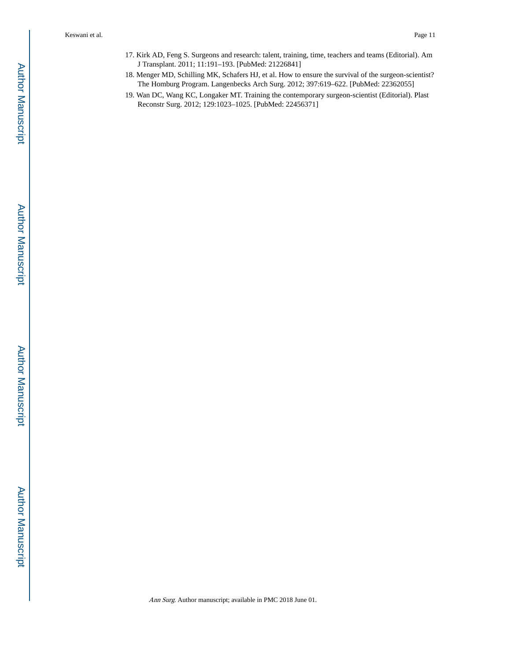- 17. Kirk AD, Feng S. Surgeons and research: talent, training, time, teachers and teams (Editorial). Am J Transplant. 2011; 11:191–193. [PubMed: 21226841]
- 18. Menger MD, Schilling MK, Schafers HJ, et al. How to ensure the survival of the surgeon-scientist? The Homburg Program. Langenbecks Arch Surg. 2012; 397:619–622. [PubMed: 22362055]
- 19. Wan DC, Wang KC, Longaker MT. Training the contemporary surgeon-scientist (Editorial). Plast Reconstr Surg. 2012; 129:1023–1025. [PubMed: 22456371]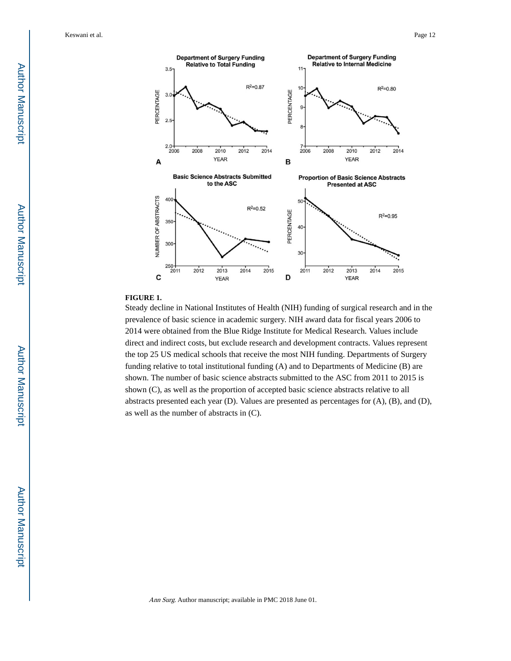

#### **FIGURE 1.**

Steady decline in National Institutes of Health (NIH) funding of surgical research and in the prevalence of basic science in academic surgery. NIH award data for fiscal years 2006 to 2014 were obtained from the Blue Ridge Institute for Medical Research. Values include direct and indirect costs, but exclude research and development contracts. Values represent the top 25 US medical schools that receive the most NIH funding. Departments of Surgery funding relative to total institutional funding (A) and to Departments of Medicine (B) are shown. The number of basic science abstracts submitted to the ASC from 2011 to 2015 is shown (C), as well as the proportion of accepted basic science abstracts relative to all abstracts presented each year (D). Values are presented as percentages for (A), (B), and (D), as well as the number of abstracts in (C).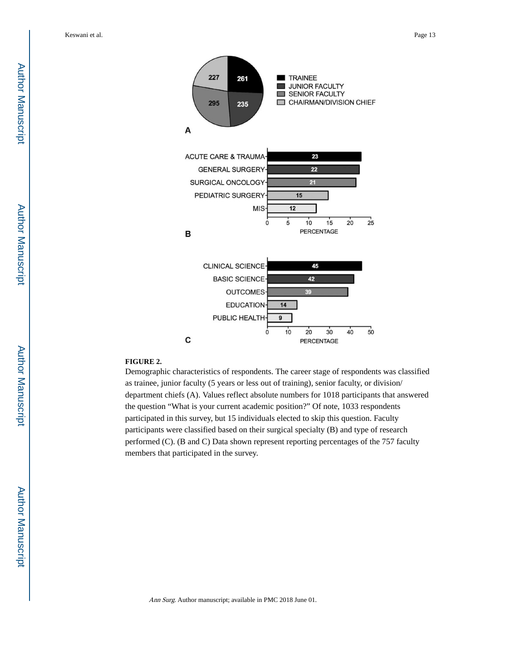**Author Manuscript** Author Manuscript



#### **FIGURE 2.**

Demographic characteristics of respondents. The career stage of respondents was classified as trainee, junior faculty (5 years or less out of training), senior faculty, or division/ department chiefs (A). Values reflect absolute numbers for 1018 participants that answered the question "What is your current academic position?" Of note, 1033 respondents participated in this survey, but 15 individuals elected to skip this question. Faculty participants were classified based on their surgical specialty (B) and type of research performed (C). (B and C) Data shown represent reporting percentages of the 757 faculty members that participated in the survey.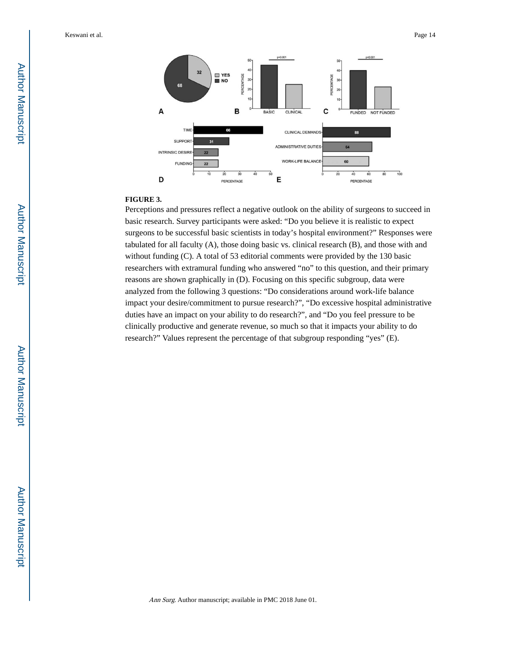

#### **FIGURE 3.**

Perceptions and pressures reflect a negative outlook on the ability of surgeons to succeed in basic research. Survey participants were asked: "Do you believe it is realistic to expect surgeons to be successful basic scientists in today's hospital environment?" Responses were tabulated for all faculty (A), those doing basic vs. clinical research (B), and those with and without funding (C). A total of 53 editorial comments were provided by the 130 basic researchers with extramural funding who answered "no" to this question, and their primary reasons are shown graphically in (D). Focusing on this specific subgroup, data were analyzed from the following 3 questions: "Do considerations around work-life balance impact your desire/commitment to pursue research?", "Do excessive hospital administrative duties have an impact on your ability to do research?", and "Do you feel pressure to be clinically productive and generate revenue, so much so that it impacts your ability to do research?" Values represent the percentage of that subgroup responding "yes" (E).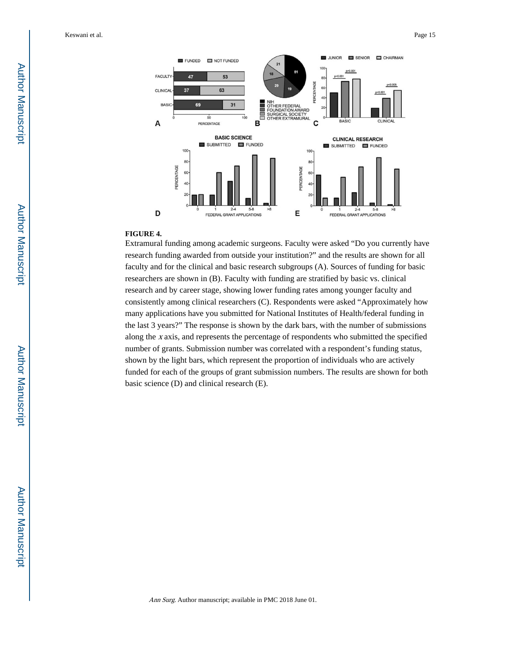

#### **FIGURE 4.**

Extramural funding among academic surgeons. Faculty were asked "Do you currently have research funding awarded from outside your institution?" and the results are shown for all faculty and for the clinical and basic research subgroups (A). Sources of funding for basic researchers are shown in (B). Faculty with funding are stratified by basic vs. clinical research and by career stage, showing lower funding rates among younger faculty and consistently among clinical researchers (C). Respondents were asked "Approximately how many applications have you submitted for National Institutes of Health/federal funding in the last 3 years?" The response is shown by the dark bars, with the number of submissions along the x axis, and represents the percentage of respondents who submitted the specified number of grants. Submission number was correlated with a respondent's funding status, shown by the light bars, which represent the proportion of individuals who are actively funded for each of the groups of grant submission numbers. The results are shown for both basic science (D) and clinical research (E).